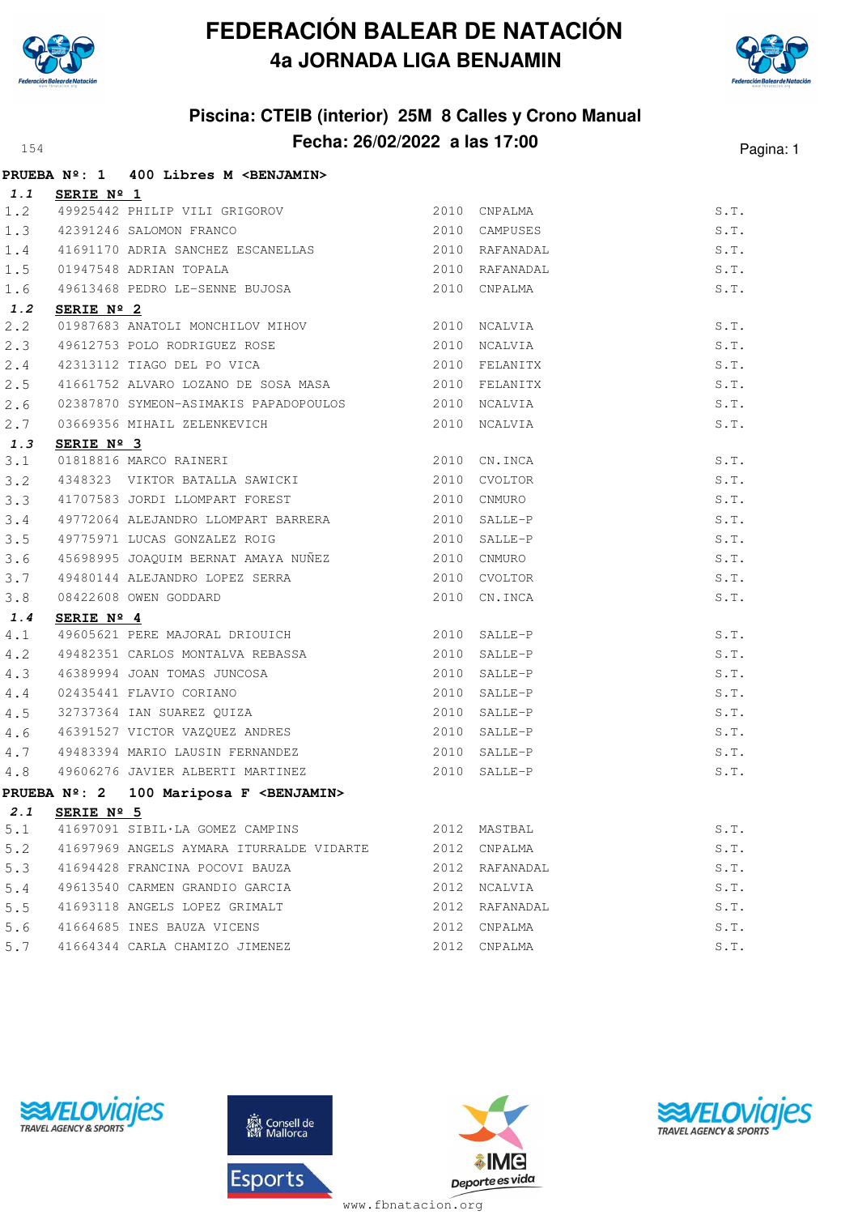



## **Piscina: CTEIB (interior) 25M 8 Calles y Crono Manual Fecha: 26/02/2022 a las 17:00** Pagina: 1

|     |            | PRUEBA Nº: 1 400 Libres M <benjamin></benjamin>                                               |              |                |      |
|-----|------------|-----------------------------------------------------------------------------------------------|--------------|----------------|------|
| 1.1 | SERIE Nº 1 |                                                                                               |              |                |      |
| 1.2 |            | 49925442 PHILIP VILI GRIGOROV 2010 CNPALMA                                                    |              |                | S.T. |
| 1.3 |            | 42391246 SALOMON FRANCO                                                                       |              | 2010 CAMPUSES  | S.T. |
| 1.4 |            | 41691170 ADRIA SANCHEZ ESCANELLAS                                                             |              | 2010 RAFANADAL | S.T. |
| 1.5 |            | 01947548 ADRIAN TOPALA                                                                        |              | 2010 RAFANADAL | S.T. |
| 1.6 |            | 49613468 PEDRO LE-SENNE BUJOSA                                                                |              | 2010 CNPALMA   | S.T. |
| 1.2 | SERIE Nº 2 |                                                                                               |              |                |      |
| 2.2 |            | 01987683 ANATOLI MONCHILOV MIHOV 3010 NCALVIA                                                 |              |                | S.T. |
| 2.3 |            | 49612753 POLO RODRIGUEZ ROSE 2010 NCALVIA                                                     |              |                | S.T. |
| 2.4 |            | 42313112 TIAGO DEL PO VICA                                                                    |              | 2010 FELANITX  | S.T. |
| 2.5 |            | 41661752 ALVARO LOZANO DE SOSA MASA $2010$ FELANITX                                           |              |                | S.T. |
| 2.6 |            | 02387870 SYMEON-ASIMAKIS PAPADOPOULOS                                                         |              | 2010 NCALVIA   | S.T. |
| 2.7 |            | 03669356 MIHAIL ZELENKEVICH 2010 NCALVIA                                                      |              |                | S.T. |
| 1.3 | SERIE Nº 3 |                                                                                               |              |                |      |
| 3.1 |            | 01818816 MARCO RAINERI 2010 CN.INCA                                                           |              |                | S.T. |
| 3.2 |            | 4348323 VIKTOR BATALLA SAWICKI 2010                                                           |              | CVOLTOR        | S.T. |
| 3.3 |            | 41707583 JORDI LLOMPART FOREST                                                                |              | 2010 CNMURO    | S.T. |
| 3.4 |            | 49772064 ALEJANDRO LLOMPART BARRERA 2010 SALLE-P                                              |              |                | S.T. |
| 3.5 |            | 49775971 LUCAS GONZALEZ ROIG                                                                  |              | $2010$ SALLE-P | S.T. |
| 3.6 |            |                                                                                               |              |                | S.T. |
| 3.7 |            | 45698995 JOAQUIM BERNAT AMAYA NUÑEZ (2010 CNMURO 49480144 ALEJANDRO LOPEZ SERRA (2010 CVOLTOF |              | 2010 CVOLTOR   | S.T. |
| 3.8 |            | 08422608 OWEN GODDARD                                                                         | 2010         | CN.INCA        | S.T. |
| 1.4 | SERIE Nº 4 |                                                                                               |              |                |      |
| 4.1 |            | 49605621 PERE MAJORAL DRIOUICH 2010 SALLE-P                                                   |              |                | S.T. |
| 4.2 |            | 49482351 CARLOS MONTALVA REBASSA                                                              |              | 2010 SALLE-P   | S.T. |
| 4.3 |            |                                                                                               | 2010         | SALLE-P        | S.T. |
| 4.4 |            | 46389994 JOAN TOMAS JUNCOSA<br>02435441 FLAVIO CORIANO<br>32737364 IAN SUAREZ QUIZA           | 2010         | SALLE-P        | S.T. |
| 4.5 |            |                                                                                               | 2010 SALLE-P |                | S.T. |
| 4.6 |            | 46391527 VICTOR VAZQUEZ ANDRES                                                                |              | 2010 SALLE-P   | S.T. |
| 4.7 |            | 49483394 MARIO LAUSIN FERNANDEZ                                                               |              | 2010 SALLE-P   | S.T. |
| 4.8 |            | 49606276 JAVIER ALBERTI MARTINEZ                                                              |              | 2010 SALLE-P   | S.T. |
|     |            | PRUEBA Nº: 2 100 Mariposa F <benjamin></benjamin>                                             |              |                |      |
|     |            | 2.1 SERIE Nº 5                                                                                |              |                |      |
| 5.1 |            | 41697091 SIBIL·LA GOMEZ CAMPINS                                                               |              | 2012 MASTBAL   | S.T. |
| 5.2 |            | 41697969 ANGELS AYMARA ITURRALDE VIDARTE                                                      | 2012         | CNPALMA        | S.T. |
| 5.3 |            | 41694428 FRANCINA POCOVI BAUZA                                                                | 2012         | RAFANADAL      | S.T. |
| 5.4 |            | 49613540 CARMEN GRANDIO GARCIA                                                                | 2012         | NCALVIA        | S.T. |
| 5.5 |            | 41693118 ANGELS LOPEZ GRIMALT                                                                 | 2012         | RAFANADAL      | S.T. |
| 5.6 |            | 41664685 INES BAUZA VICENS                                                                    | 2012         | CNPALMA        | S.T. |
| 5.7 |            | 41664344 CARLA CHAMIZO JIMENEZ                                                                |              | 2012 CNPALMA   | S.T. |







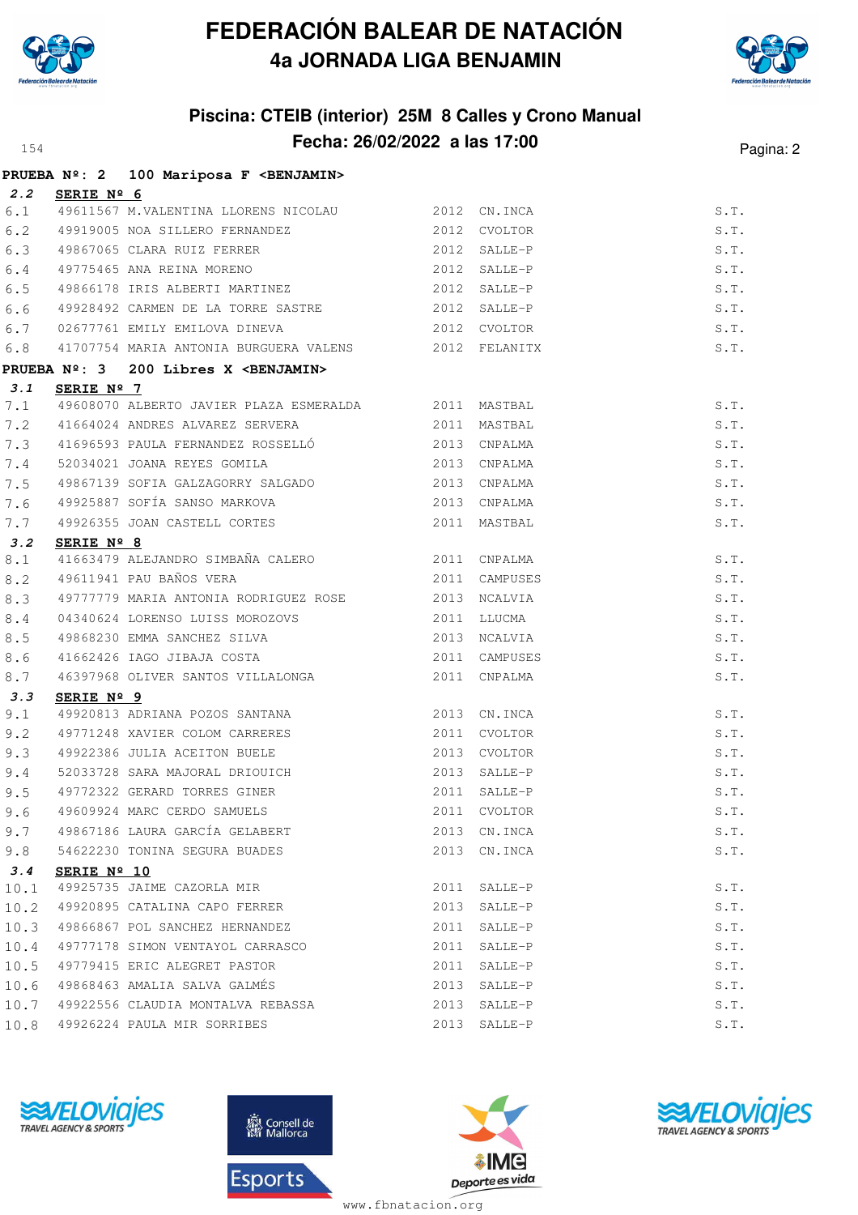



## **Piscina: CTEIB (interior) 25M 8 Calles y Crono Manual Fecha: 26/02/2022 a las 17:00** Pagina: 2

|      |             | PRUEBA Nº: 2 100 Mariposa F <benjamin></benjamin>                                                                                            |      |              |      |
|------|-------------|----------------------------------------------------------------------------------------------------------------------------------------------|------|--------------|------|
| 2.2  | SERIE Nº 6  |                                                                                                                                              |      |              |      |
|      |             | 6.1 49611567 M.VALENTINA LLORENS NICOLAU 2012 CN.INCA                                                                                        |      |              | S.T. |
|      |             | 6.2 49919005 NOA SILLERO FERNANDEZ 2012 CVOLTOR<br>6.3 49867065 CLARA RUIZ FERRER 2012 SALLE-P<br>6.4 49775465 ANA REINA MORENO 2012 SALLE-P |      |              | S.T. |
|      |             |                                                                                                                                              |      |              | S.T. |
|      |             |                                                                                                                                              |      |              | S.T. |
| 6.5  |             | 49866178 IRIS ALBERTI MARTINEZ 2012 SALLE-P                                                                                                  |      |              | S.T. |
| 6.6  |             | 49928492 CARMEN DE LA TORRE SASTRE                                                                                                           |      | 2012 SALLE-P | S.T. |
| 6.7  |             | 2012 CVOLTOR<br>02677761 EMILY EMILOVA DINEVA                                                                                                |      |              | S.T. |
| 6.8  |             | 41707754 MARIA ANTONIA BURGUERA VALENS 2012 FELANITX                                                                                         |      |              | S.T. |
|      |             | PRUEBA Nº: 3 200 Libres X <benjamin></benjamin>                                                                                              |      |              |      |
| 3.1  | SERIE Nº 7  |                                                                                                                                              |      |              |      |
| 7.1  |             | 49608070 ALBERTO JAVIER PLAZA ESMERALDA 62011 MASTBAL                                                                                        |      |              | S.T. |
| 7.2  |             | 41664024 ANDRES ALVAREZ SERVERA 2011                                                                                                         |      | MASTBAL      | S.T. |
| 7.3  |             | 41696593 PAULA FERNANDEZ ROSSELLÓ<br>2013 CNPALMA                                                                                            |      |              | S.T. |
| 7.4  |             | 52034021 JOANA REYES GOMILA                                                                                                                  |      | 2013 CNPALMA | S.T. |
| 7.5  |             | 49867139 SOFIA GALZAGORRY SALGADO 600 2013 CNPALMA                                                                                           |      |              | S.T. |
| 7.6  |             | 49925887 SOFÍA SANSO MARKOVA (2013 CNPALMA                                                                                                   |      |              | S.T. |
| 7.7  |             | 49926355 JOAN CASTELL CORTES 2011 MASTBAL                                                                                                    |      |              | S.T. |
| 3.2  | SERIE Nº 8  |                                                                                                                                              |      |              |      |
| 8.1  |             | 41663479 ALEJANDRO SIMBAÑA CALERO 2011 CNPALMA                                                                                               |      |              | S.T. |
| 8.2  |             | 49611941 PAU BAÑOS VERA 2011 CAMPUSES                                                                                                        |      |              | S.T. |
| 8.3  |             | 49777779 MARIA ANTONIA RODRIGUEZ ROSE 2013 NCALVIA                                                                                           |      |              | S.T. |
| 8.4  |             | 04340624 LORENSO LUISS MOROZOVS 2011 LLUCMA<br>49868230 EMMA SANCHEZ SILVA 2013 NCALVIA<br>41662426 IAGO JIBAJA COSTA 2011 CAMPUSES          |      |              | S.T. |
| 8.5  |             |                                                                                                                                              |      |              | S.T. |
| 8.6  |             |                                                                                                                                              |      |              | S.T. |
| 8.7  |             | 46397968 OLIVER SANTOS VILLALONGA 2011 CNPALMA                                                                                               |      |              | S.T. |
| 3.3  | SERIE Nº 9  |                                                                                                                                              |      |              |      |
| 9.1  |             | 49920813 ADRIANA POZOS SANTANA (2013 CN.INCA                                                                                                 |      |              | S.T. |
| 9.2  |             | 49771248 XAVIER COLOM CARRERES                                                                                                               |      | 2011 CVOLTOR | S.T. |
| 9.3  |             | 49922386 JULIA ACEITON BUELE 2013 CVOLTOR                                                                                                    |      |              | S.T. |
|      |             | 9.4 52033728 SARA MAJORAL DRIOUICH 2013 SALLE-P                                                                                              |      |              | S.T. |
| 9.5  |             | 49772322 GERARD TORRES GINER                                                                                                                 |      | 2011 SALLE-P | S.T. |
|      |             | 9.6 49609924 MARC CERDO SAMUELS 2011 CVOLTOR                                                                                                 |      |              | S.T. |
| 9.7  |             | 49867186 LAURA GARCÍA GELABERT                                                                                                               | 2013 | CN.INCA      | S.T. |
| 9.8  |             | 54622230 TONINA SEGURA BUADES                                                                                                                | 2013 | CN.INCA      | S.T. |
| 3.4  | SERIE Nº 10 |                                                                                                                                              |      |              |      |
| 10.1 |             | 49925735 JAIME CAZORLA MIR                                                                                                                   | 2011 | SALLE-P      | S.T. |
| 10.2 |             | 49920895 CATALINA CAPO FERRER                                                                                                                | 2013 | SALLE-P      | S.T. |
| 10.3 |             | 49866867 POL SANCHEZ HERNANDEZ                                                                                                               | 2011 | SALLE-P      | S.T. |
| 10.4 |             | 49777178 SIMON VENTAYOL CARRASCO                                                                                                             | 2011 | SALLE-P      | S.T. |
| 10.5 |             | 49779415 ERIC ALEGRET PASTOR                                                                                                                 | 2011 | SALLE-P      | S.T. |
| 10.6 |             | 49868463 AMALIA SALVA GALMÉS                                                                                                                 | 2013 | SALLE-P      | S.T. |
| 10.7 |             | 49922556 CLAUDIA MONTALVA REBASSA                                                                                                            | 2013 | SALLE-P      | S.T. |
| 10.8 |             | 49926224 PAULA MIR SORRIBES                                                                                                                  | 2013 | SALLE-P      | S.T. |







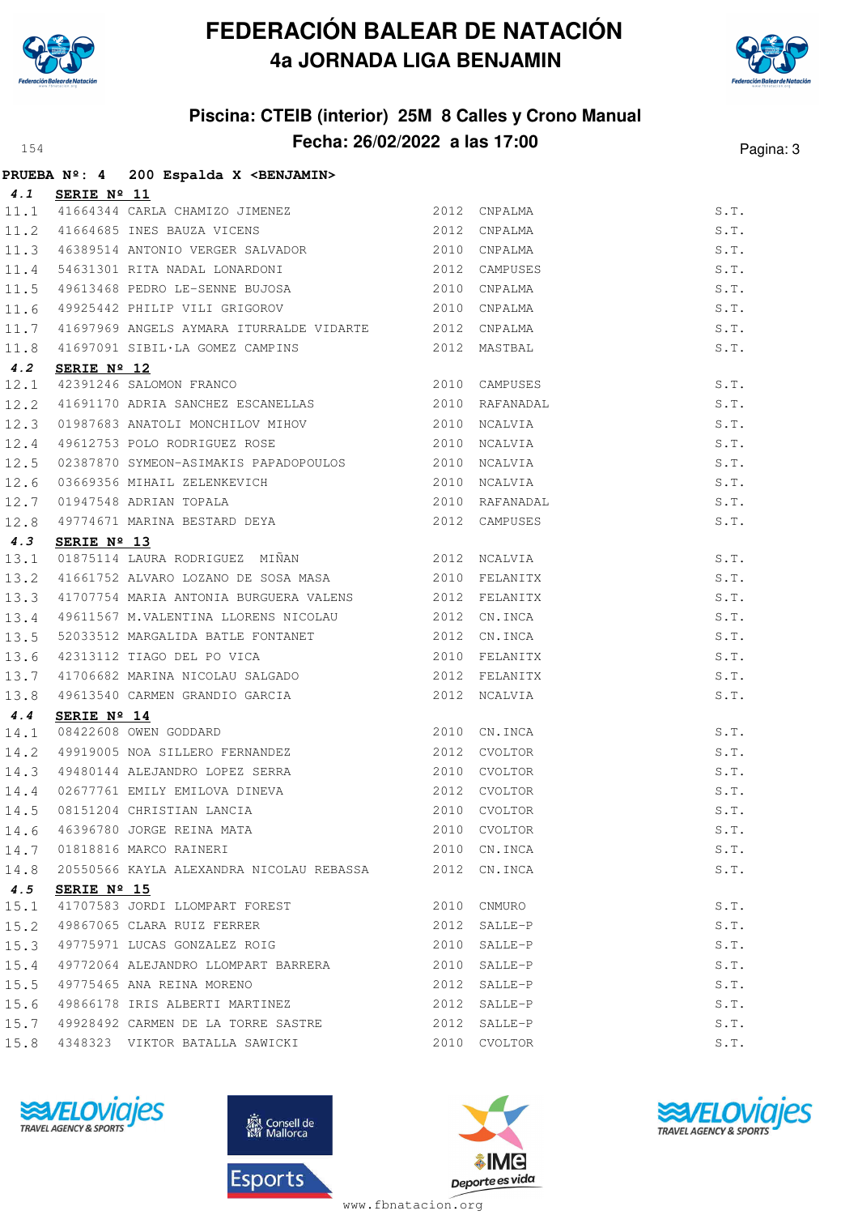



## **Piscina: CTEIB (interior) 25M 8 Calles y Crono Manual Fecha: 26/02/2022 a las 17:00** Pagina: 3

|      |                      | PRUEBA Nº: 4 200 Espalda X < BENJAMIN>                                                                               |      |               |      |
|------|----------------------|----------------------------------------------------------------------------------------------------------------------|------|---------------|------|
|      | 4.1 SERIE Nº 11      |                                                                                                                      |      |               |      |
|      |                      | 11.1 41664344 CARLA CHAMIZO JIMENEZ<br>11.2 41664685 INES BAUZA VICENS                                               |      | 2012 CNPALMA  | S.T. |
|      |                      |                                                                                                                      | 2012 | CNPALMA       | S.T. |
|      |                      | 11.3 46389514 ANTONIO VERGER SALVADOR 2010                                                                           |      | CNPALMA       | S.T. |
|      |                      | 11.4 54631301 RITA NADAL LONARDONI 2012<br>11.5 49613468 PEDRO LE-SENNE BUJOSA 2010                                  |      | CAMPUSES      | S.T. |
|      |                      |                                                                                                                      |      | 2010 CNPALMA  | S.T. |
| 11.6 |                      | 49925442 PHILIP VILI GRIGOROV                                                                                        |      | 2010 CNPALMA  | S.T. |
| 11.7 |                      | 41697969 ANGELS AYMARA ITURRALDE VIDARTE 2012 CNPALMA                                                                |      |               | S.T. |
| 11.8 |                      | 41697091 SIBIL·LA GOMEZ CAMPINS 2012 MASTBAL                                                                         |      |               | S.T. |
| 4.2  | SERIE $N^{\circ}$ 12 |                                                                                                                      |      |               |      |
| 12.1 |                      | 2010 CAMPUSES<br>42391246 SALOMON FRANCO<br>41691170 ADRIA SANCHEZ ESCANELLAS 2010 RAFANADAL                         |      |               | S.T. |
| 12.2 |                      |                                                                                                                      |      |               | S.T. |
| 12.3 |                      |                                                                                                                      |      |               | S.T. |
| 12.4 |                      | 49612753 POLO RODRIGUEZ ROSE 2010 NCALVIA                                                                            |      |               | S.T. |
| 12.5 |                      | 02387870 SYMEON-ASIMAKIS PAPADOPOULOS                                                                                |      | 2010 NCALVIA  | S.T. |
| 12.6 |                      |                                                                                                                      |      |               | S.T. |
| 12.7 |                      |                                                                                                                      |      | RAFANADAL     | S.T. |
| 12.8 |                      |                                                                                                                      |      | 2012 CAMPUSES | S.T. |
| 4.3  | SERIE Nº 13          |                                                                                                                      |      |               |      |
| 13.1 |                      | 01875114 LAURA RODRIGUEZ MIÑAN 618 2012 NCALVIA                                                                      |      |               | S.T. |
| 13.2 |                      | 41661752 ALVARO LOZANO DE SOSA MASA 600 2010 FELANITX                                                                |      |               | S.T. |
| 13.3 |                      | 41707754 MARIA ANTONIA BURGUERA VALENS 2012 FELANITX                                                                 |      |               | S.T. |
| 13.4 |                      | 49611567 M.VALENTINA LLORENS NICOLAU 2012 CN.INCA                                                                    |      |               | S.T. |
| 13.5 |                      | 52033512 MARGALIDA BATLE FONTANET                                                                                    |      | 2012 CN.INCA  | S.T. |
| 13.6 |                      | 42313112 TIAGO DEL PO VICA (2010)<br>41706682 MARINA NICOLAU SALGADO (2012)<br>49613540 CARMEN GRANDIO GARCIA (2012) |      | FELANITX      | S.T. |
| 13.7 |                      |                                                                                                                      |      | FELANITX      | S.T. |
| 13.8 |                      |                                                                                                                      |      | 2012 NCALVIA  | S.T. |
| 4.4  | SERIE Nº 14          |                                                                                                                      |      |               |      |
| 14.1 |                      | 08422608 OWEN GODDARD                                                                                                |      | 2010 CN.INCA  | S.T. |
| 14.2 |                      | 49919005 NOA SILLERO FERNANDEZ                                                                                       | 2012 | CVOLTOR       | S.T. |
|      |                      | 14.3 49480144 ALEJANDRO LOPEZ SERRA                                                                                  |      | 2010 CVOLTOR  | S.T. |
| 14.4 |                      | 02677761 EMILY EMILOVA DINEVA<br>08151204 CHRISTIAN LANCIA                                                           |      | 2012 CVOLTOR  | S.T. |
| 14.5 |                      |                                                                                                                      |      | 2010 CVOLTOR  | S.T. |
| 14.6 |                      | 46396780 JORGE REINA MATA                                                                                            |      | 2010 CVOLTOR  | S.T. |
| 14.7 |                      | 01818816 MARCO RAINERI                                                                                               | 2010 | CN.INCA       | S.T. |
| 14.8 |                      | 20550566 KAYLA ALEXANDRA NICOLAU REBASSA                                                                             |      | 2012 CN.INCA  | S.T. |
| 4.5  | SERIE Nº 15          |                                                                                                                      |      |               |      |
| 15.1 |                      | 41707583 JORDI LLOMPART FOREST                                                                                       | 2010 | CNMURO        | S.T. |
| 15.2 |                      | 49867065 CLARA RUIZ FERRER                                                                                           | 2012 | SALLE-P       | S.T. |
| 15.3 |                      | 49775971 LUCAS GONZALEZ ROIG                                                                                         | 2010 | SALLE-P       | S.T. |
| 15.4 |                      | 49772064 ALEJANDRO LLOMPART BARRERA                                                                                  | 2010 | SALLE-P       | S.T. |
| 15.5 |                      | 49775465 ANA REINA MORENO                                                                                            | 2012 | SALLE-P       | S.T. |
| 15.6 |                      | 49866178 IRIS ALBERTI MARTINEZ                                                                                       | 2012 | $SALLE-P$     | S.T. |
| 15.7 |                      | 49928492 CARMEN DE LA TORRE SASTRE                                                                                   | 2012 | SALLE-P       | S.T. |
| 15.8 |                      | 4348323 VIKTOR BATALLA SAWICKI                                                                                       |      | 2010 CVOLTOR  | S.T. |
|      |                      |                                                                                                                      |      |               |      |







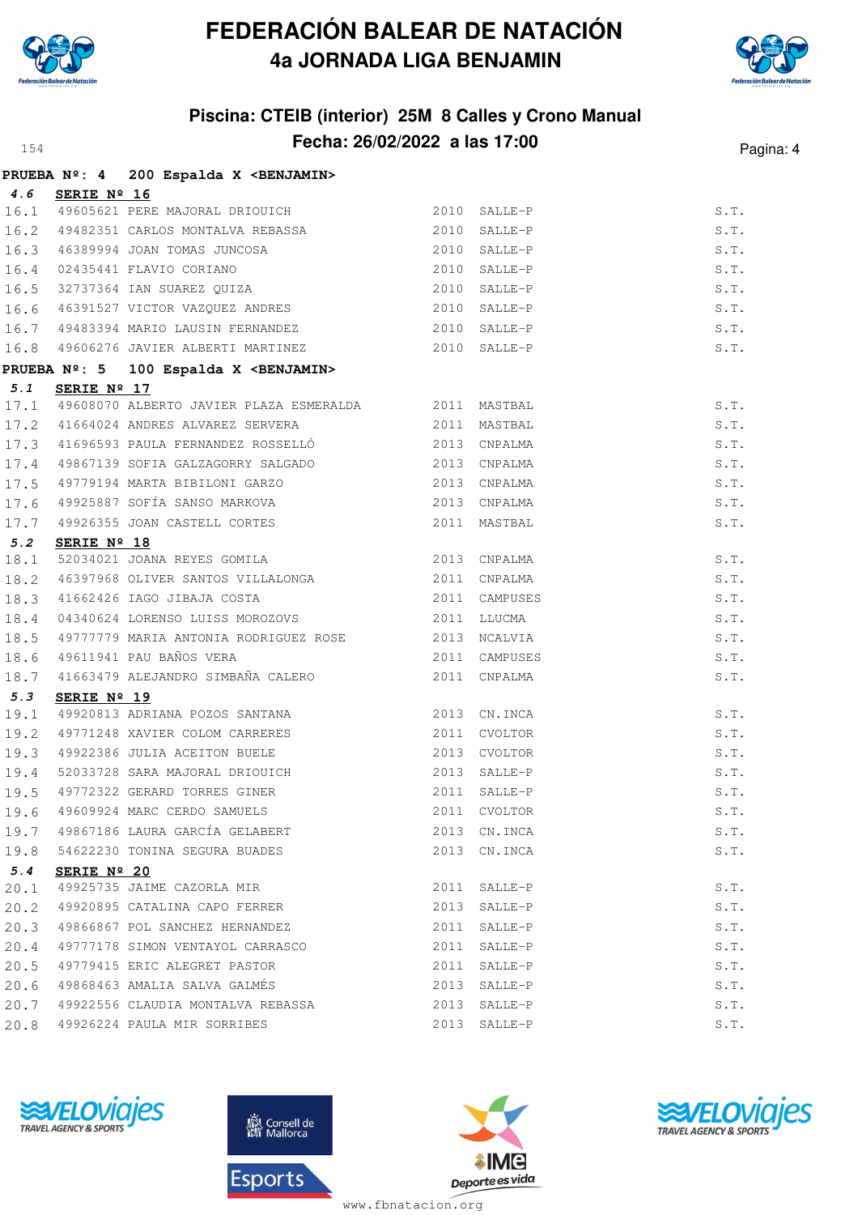



## **Piscina: CTEIB (interior) 25M 8 Calles y Crono Manual Fecha: 26/02/2022 a las 17:00** Pagina: 4

|      |             | PRUEBA Nº: 4 200 Espalda X < BENJAMIN>                                                             |               |               |               |
|------|-------------|----------------------------------------------------------------------------------------------------|---------------|---------------|---------------|
| 4.6  | SERIE Nº 16 |                                                                                                    |               |               |               |
|      |             | 16.1 49605621 PERE MAJORAL DRIOUICH 2010<br>16.2 49482351 CARLOS MONTALVA REBASSA 2010             | 2010 SALLE-P  |               | S.T.          |
|      |             |                                                                                                    |               | SALLE-P       | S.T.          |
| 16.3 |             |                                                                                                    |               | SALLE-P       | S.T.          |
| 16.4 |             |                                                                                                    |               | SALLE-P       | S.T.          |
| 16.5 |             | 46389994 JOAN TOMAS JUNCOSA 2010<br>02435441 FLAVIO CORIANO 2010<br>32737364 IAN SUAREZ QUIZA 2010 |               | SALLE-P       | S.T.          |
| 16.6 |             | 46391527 VICTOR VAZQUEZ ANDRES 2010                                                                |               | SALLE-P       | S.T.          |
| 16.7 |             | 49483394 MARIO LAUSIN FERNANDEZ 2010                                                               |               | SALLE-P       | S.T.          |
|      |             | 16.8 49606276 JAVIER ALBERTI MARTINEZ 2010 SALLE-P                                                 |               |               | S.T.          |
|      |             | PRUEBA Nº: 5 100 Espalda X <benjamin></benjamin>                                                   |               |               |               |
| 5.1  | SERIE Nº 17 |                                                                                                    |               |               |               |
|      |             | 17.1 49608070 ALBERTO JAVIER PLAZA ESMERALDA 2011 MASTBAL                                          |               |               | S.T.          |
|      |             | 17.2 41664024 ANDRES ALVAREZ SERVERA 2011                                                          |               | MASTBAL       | S.T.          |
|      |             | 17.3 41696593 PAULA FERNANDEZ ROSSELLÓ 2013 CNPALMA                                                |               |               | S.T.          |
| 17.4 |             | 49867139 SOFIA GALZAGORRY SALGADO<br>2013 CNPALMA                                                  |               |               | $S \cdot T$ . |
| 17.5 |             | 49779194 MARTA BIBILONI GARZO                                                                      | 2013          | CNPALMA       | S.T.          |
| 17.6 |             |                                                                                                    |               | 2013 CNPALMA  | S.T.          |
| 17.7 |             | 49925887 SOFÍA SANSO MARKOVA<br>49926355 JOAN CASTELL CORTES                                       |               | 2011 MASTBAL  | S.T.          |
| 5.2  | SERIE Nº 18 |                                                                                                    |               |               |               |
| 18.1 |             | 52034021 JOANA REYES GOMILA 2013 CNPALMA                                                           |               |               | S.T.          |
| 18.2 |             | 46397968 OLIVER SANTOS VILLALONGA 2011                                                             |               | CNPALMA       | S.T.          |
| 18.3 |             | 41662426 IAGO JIBAJA COSTA                                                                         | 2011 CAMPUSES |               | S.T.          |
| 18.4 |             | 04340624 LORENSO LUISS MOROZOVS                                                                    |               | 2011 LLUCMA   | S.T.          |
| 18.5 |             | 49777779 MARIA ANTONIA RODRIGUEZ ROSE 2013 NCALVIA                                                 |               |               | S.T.          |
| 18.6 |             | 49611941 PAU BAÑOS VERA                                                                            | 2011          | CAMPUSES      | S.T.          |
| 18.7 |             | 41663479 ALEJANDRO SIMBAÑA CALERO 2011 CNPALMA                                                     |               |               | S.T.          |
| 5.3  | SERIE Nº 19 |                                                                                                    |               |               |               |
| 19.1 |             | 49920813 ADRIANA POZOS SANTANA 2013 CN.INCA                                                        |               |               | S.T.          |
| 19.2 |             | 49771248 XAVIER COLOM CARRERES 2011 CVOLTOR                                                        |               |               | S.T.          |
| 19.3 |             | 49922386 JULIA ACEITON BUELE                                                                       |               | 2013 CVOLTOR  | S.T.          |
| 19.4 |             | 52033728 SARA MAJORAL DRIOUICH<br>49772322 GERARD TORRES GINER                                     |               | 2013 SALLE-P  | S.T.          |
| 19.5 |             |                                                                                                    |               | 2011 SALLE-P  | S.T.          |
| 19.6 |             | 49609924 MARC CERDO SAMUELS                                                                        | 2011          | CVOLTOR       | S.T.          |
| 19.7 |             | 49867186 LAURA GARCÍA GELABERT                                                                     | 2013          | CN.INCA       | S.T.          |
| 19.8 |             | 54622230 TONINA SEGURA BUADES                                                                      |               | 2013 CN. INCA | S.T.          |
| 5.4  | SERIE Nº 20 |                                                                                                    |               |               |               |
| 20.1 |             | 49925735 JAIME CAZORLA MIR                                                                         | 2011          | SALLE-P       | S.T.          |
| 20.2 |             | 49920895 CATALINA CAPO FERRER                                                                      | 2013          | SALLE-P       | S.T.          |
| 20.3 |             | 49866867 POL SANCHEZ HERNANDEZ                                                                     | 2011          | SALLE-P       | S.T.          |
| 20.4 |             | 49777178 SIMON VENTAYOL CARRASCO                                                                   | 2011          | SALLE-P       | S.T.          |
| 20.5 |             | 49779415 ERIC ALEGRET PASTOR                                                                       | 2011          | SALLE-P       | S.T.          |
| 20.6 |             | 49868463 AMALIA SALVA GALMÉS                                                                       | 2013          | SALLE-P       | S.T.          |
| 20.7 |             | 49922556 CLAUDIA MONTALVA REBASSA                                                                  | 2013          | SALLE-P       | S.T.          |
| 20.8 |             | 49926224 PAULA MIR SORRIBES                                                                        |               | 2013 SALLE-P  | S.T.          |